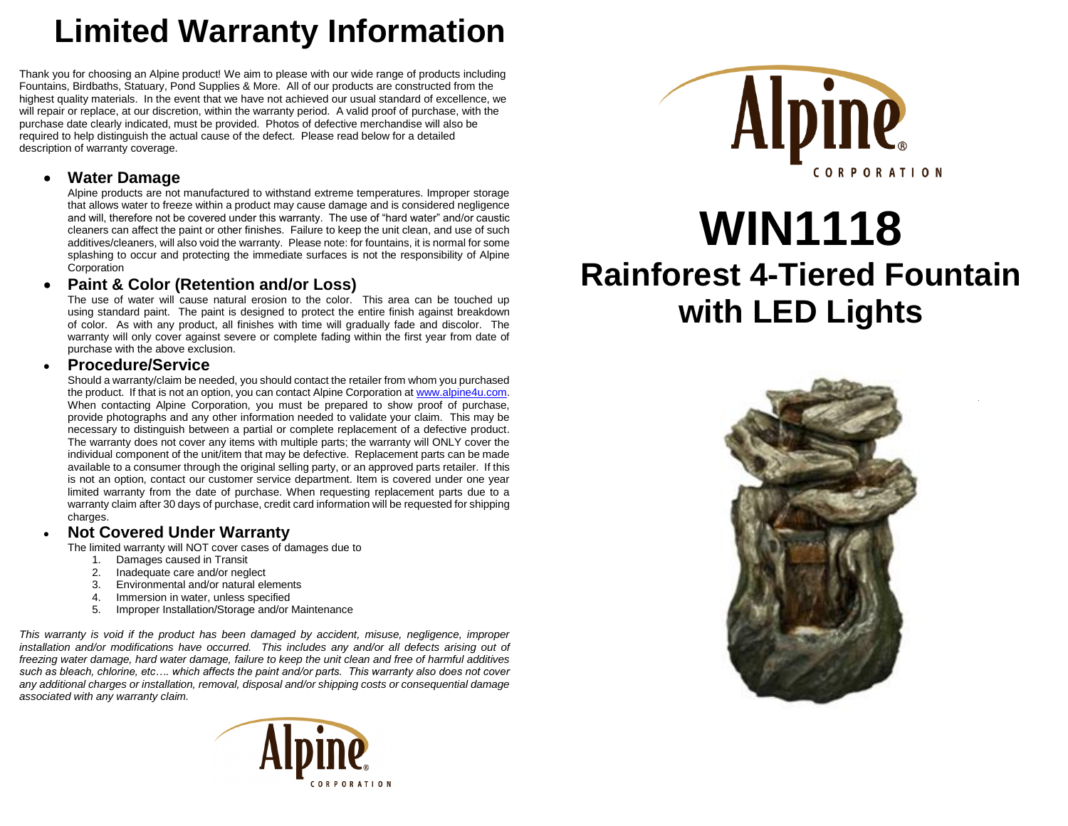## **Limited Warranty Information**

Thank you for choosing an Alpine product! We aim to please with our wide range of products including Fountains, Birdbaths, Statuary, Pond Supplies & More. All of our products are constructed from the highest quality materials. In the event that we have not achieved our usual standard of excellence, we will repair or replace, at our discretion, within the warranty period. A valid proof of purchase, with the purchase date clearly indicated, must be provided. Photos of defective merchandise will also be required to help distinguish the actual cause of the defect. Please read below for a detailed description of warranty coverage.

#### **Water Damage**

Alpine products are not manufactured to withstand extreme temperatures. Improper storage that allows water to freeze within a product may cause damage and is considered negligence and will, therefore not be covered under this warranty. The use of "hard water" and/or caustic cleaners can affect the paint or other finishes. Failure to keep the unit clean, and use of such additives/cleaners, will also void the warranty. Please note: for fountains, it is normal for some splashing to occur and protecting the immediate surfaces is not the responsibility of Alpine **Corporation** 

#### **Paint & Color (Retention and/or Loss)**

The use of water will cause natural erosion to the color. This area can be touched up using standard paint. The paint is designed to protect the entire finish against breakdown of color. As with any product, all finishes with time will gradually fade and discolor. The warranty will only cover against severe or complete fading within the first year from date of purchase with the above exclusion.

#### **Procedure/Service**

Should a warranty/claim be needed, you should contact the retailer from whom you purchased the product. If that is not an option, you can contact Alpine Corporation a[t www.alpine4u.com.](http://www.alpine4u.com/) When contacting Alpine Corporation, you must be prepared to show proof of purchase, provide photographs and any other information needed to validate your claim. This may be necessary to distinguish between a partial or complete replacement of a defective product. The warranty does not cover any items with multiple parts; the warranty will ONLY cover the individual component of the unit/item that may be defective. Replacement parts can be made available to a consumer through the original selling party, or an approved parts retailer. If this is not an option, contact our customer service department. Item is covered under one year limited warranty from the date of purchase. When requesting replacement parts due to a warranty claim after 30 days of purchase, credit card information will be requested for shipping charges.

#### **Not Covered Under Warranty**

The limited warranty will NOT cover cases of damages due to

- 1. Damages caused in Transit
- 2. Inadequate care and/or neglect
- 3. Environmental and/or natural elements
- 4. Immersion in water, unless specified
- 5. Improper Installation/Storage and/or Maintenance

*This warranty is void if the product has been damaged by accident, misuse, negligence, improper installation and/or modifications have occurred. This includes any and/or all defects arising out of freezing water damage, hard water damage, failure to keep the unit clean and free of harmful additives such as bleach, chlorine, etc…. which affects the paint and/or parts. This warranty also does not cover any additional charges or installation, removal, disposal and/or shipping costs or consequential damage associated with any warranty claim.*





# **WIN1118 Rainforest 4-Tiered Fountain with LED Lights**